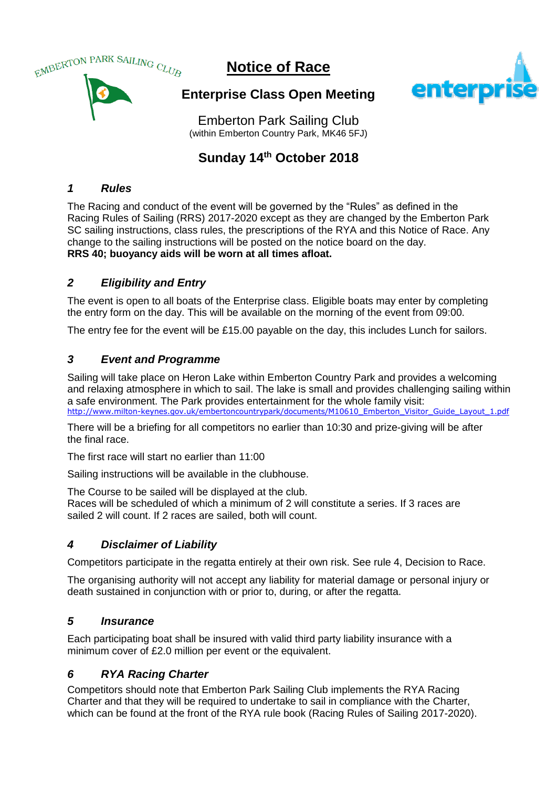

# **Notice of Race**



**Enterprise Class Open Meeting**

Emberton Park Sailing Club (within Emberton Country Park, MK46 5FJ)

## **Sunday 14th October 2018**

## *1 Rules*

The Racing and conduct of the event will be governed by the "Rules" as defined in the Racing Rules of Sailing (RRS) 2017-2020 except as they are changed by the Emberton Park SC sailing instructions, class rules, the prescriptions of the RYA and this Notice of Race. Any change to the sailing instructions will be posted on the notice board on the day. **RRS 40; buoyancy aids will be worn at all times afloat.**

## *2 Eligibility and Entry*

The event is open to all boats of the Enterprise class. Eligible boats may enter by completing the entry form on the day. This will be available on the morning of the event from 09:00.

The entry fee for the event will be £15.00 payable on the day, this includes Lunch for sailors.

## *3 Event and Programme*

Sailing will take place on Heron Lake within Emberton Country Park and provides a welcoming and relaxing atmosphere in which to sail. The lake is small and provides challenging sailing within a safe environment. The Park provides entertainment for the whole family visit: [http://www.milton-keynes.gov.uk/embertoncountrypark/documents/M10610\\_Emberton\\_Visitor\\_Guide\\_Layout\\_1.pdf](http://www.milton-keynes.gov.uk/embertoncountrypark/documents/M10610_Emberton_Visitor_Guide_Layout_1.pdf)

There will be a briefing for all competitors no earlier than 10:30 and prize-giving will be after the final race.

The first race will start no earlier than 11:00

Sailing instructions will be available in the clubhouse.

The Course to be sailed will be displayed at the club.

Races will be scheduled of which a minimum of 2 will constitute a series. If 3 races are sailed 2 will count. If 2 races are sailed, both will count.

## *4 Disclaimer of Liability*

Competitors participate in the regatta entirely at their own risk. See rule 4, Decision to Race.

The organising authority will not accept any liability for material damage or personal injury or death sustained in conjunction with or prior to, during, or after the regatta.

#### *5 Insurance*

Each participating boat shall be insured with valid third party liability insurance with a minimum cover of £2.0 million per event or the equivalent.

## *6 RYA Racing Charter*

Competitors should note that Emberton Park Sailing Club implements the RYA Racing Charter and that they will be required to undertake to sail in compliance with the Charter, which can be found at the front of the RYA rule book (Racing Rules of Sailing 2017-2020).